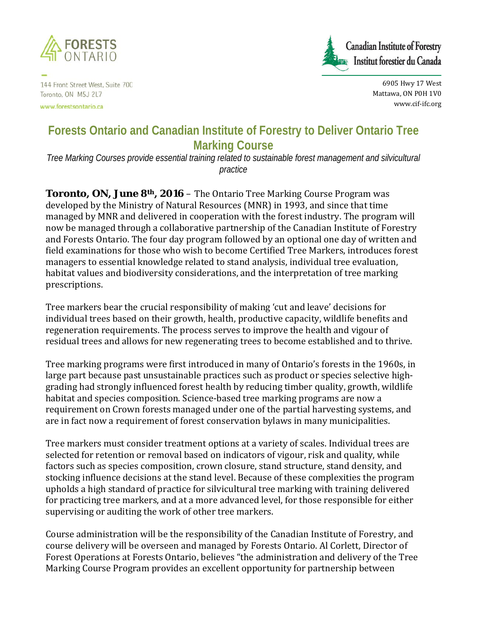

144 Front Street West, Suite 700 Toronto, ON M5J 2L7

www.forestsontario.ca



6905 Hwy 17 West Mattawa, ON P0H 1V0 www.cif-ifc.org

## **Forests Ontario and Canadian Institute of Forestry to Deliver Ontario Tree Marking Course**

*Tree Marking Courses provide essential training related to sustainable forest management and silvicultural practice*

**Toronto, ON, June 8<sup>th</sup>, 2016** – The Ontario Tree Marking Course Program was developed by the Ministry of Natural Resources (MNR) in 1993, and since that time managed by MNR and delivered in cooperation with the forest industry. The program will now be managed through a collaborative partnership of the Canadian Institute of Forestry and Forests Ontario. The four day program followed by an optional one day of written and field examinations for those who wish to become Certified Tree Markers, introduces forest managers to essential knowledge related to stand analysis, individual tree evaluation, habitat values and biodiversity considerations, and the interpretation of tree marking prescriptions.

Tree markers bear the crucial responsibility of making 'cut and leave' decisions for individual trees based on their growth, health, productive capacity, wildlife benefits and regeneration requirements. The process serves to improve the health and vigour of residual trees and allows for new regenerating trees to become established and to thrive.

Tree marking programs were first introduced in many of Ontario's forests in the 1960s, in large part because past unsustainable practices such as product or species selective highgrading had strongly influenced forest health by reducing timber quality, growth, wildlife habitat and species composition. Science-based tree marking programs are now a requirement on Crown forests managed under one of the partial harvesting systems, and are in fact now a requirement of forest conservation bylaws in many municipalities.

Tree markers must consider treatment options at a variety of scales. Individual trees are selected for retention or removal based on indicators of vigour, risk and quality, while factors such as species composition, crown closure, stand structure, stand density, and stocking influence decisions at the stand level. Because of these complexities the program upholds a high standard of practice for silvicultural tree marking with training delivered for practicing tree markers, and at a more advanced level, for those responsible for either supervising or auditing the work of other tree markers.

Course administration will be the responsibility of the Canadian Institute of Forestry, and course delivery will be overseen and managed by Forests Ontario. Al Corlett, Director of Forest Operations at Forests Ontario, believes "the administration and delivery of the Tree Marking Course Program provides an excellent opportunity for partnership between